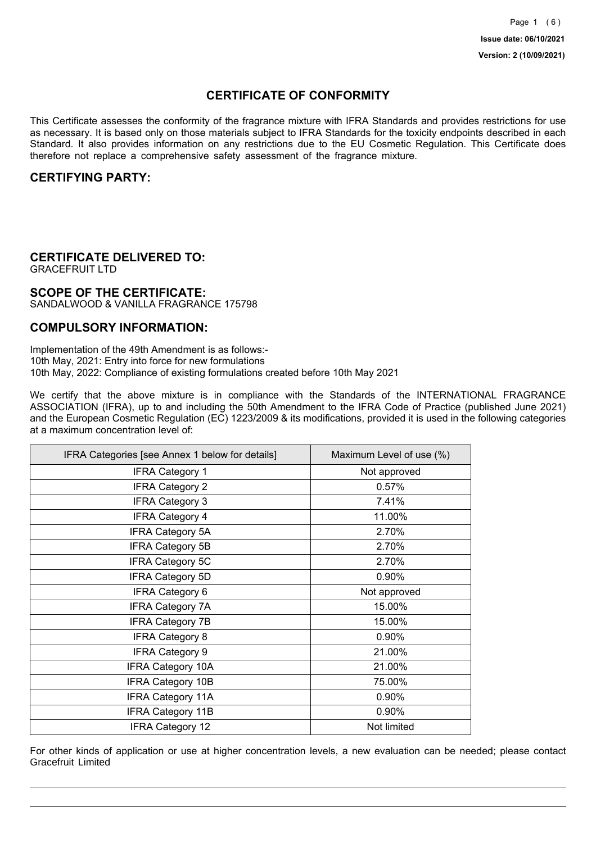## **CERTIFICATE OF CONFORMITY**

This Certificate assesses the conformity of the fragrance mixture with IFRA Standards and provides restrictions for use as necessary. It is based only on those materials subject to IFRA Standards for the toxicity endpoints described in each Standard. It also provides information on any restrictions due to the EU Cosmetic Regulation. This Certificate does therefore not replace a comprehensive safety assessment of the fragrance mixture.

### **CERTIFYING PARTY:**

## **CERTIFICATE DELIVERED TO:**

GRACEFRUIT LTD

### **SCOPE OF THE CERTIFICATE:**

SANDALWOOD & VANILLA FRAGRANCE 175798

### **COMPULSORY INFORMATION:**

Implementation of the 49th Amendment is as follows:- 10th May, 2021: Entry into force for new formulations 10th May, 2022: Compliance of existing formulations created before 10th May 2021

We certify that the above mixture is in compliance with the Standards of the INTERNATIONAL FRAGRANCE ASSOCIATION (IFRA), up to and including the 50th Amendment to the IFRA Code of Practice (published June 2021) and the European Cosmetic Regulation (EC) 1223/2009 & its modifications, provided it is used in the following categories at a maximum concentration level of:

| IFRA Categories [see Annex 1 below for details] | Maximum Level of use (%) |
|-------------------------------------------------|--------------------------|
| <b>IFRA Category 1</b>                          | Not approved             |
| <b>IFRA Category 2</b>                          | 0.57%                    |
| <b>IFRA Category 3</b>                          | 7.41%                    |
| <b>IFRA Category 4</b>                          | 11.00%                   |
| <b>IFRA Category 5A</b>                         | 2.70%                    |
| <b>IFRA Category 5B</b>                         | 2.70%                    |
| <b>IFRA Category 5C</b>                         | 2.70%                    |
| <b>IFRA Category 5D</b>                         | 0.90%                    |
| <b>IFRA Category 6</b>                          | Not approved             |
| <b>IFRA Category 7A</b>                         | 15.00%                   |
| <b>IFRA Category 7B</b>                         | 15.00%                   |
| <b>IFRA Category 8</b>                          | 0.90%                    |
| <b>IFRA Category 9</b>                          | 21.00%                   |
| <b>IFRA Category 10A</b>                        | 21.00%                   |
| <b>IFRA Category 10B</b>                        | 75.00%                   |
| <b>IFRA Category 11A</b>                        | 0.90%                    |
| <b>IFRA Category 11B</b>                        | 0.90%                    |
| <b>IFRA Category 12</b>                         | Not limited              |

For other kinds of application or use at higher concentration levels, a new evaluation can be needed; please contact Gracefruit Limited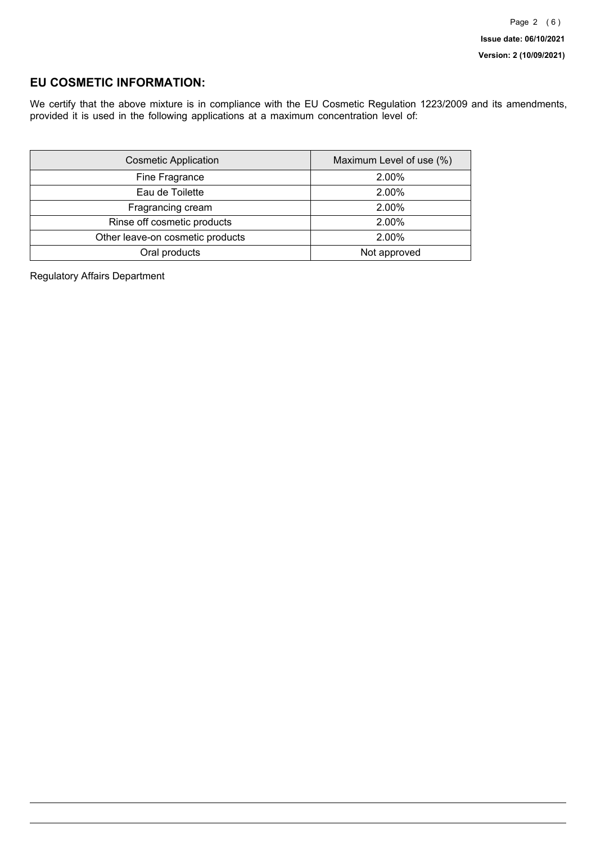## **EU COSMETIC INFORMATION:**

We certify that the above mixture is in compliance with the EU Cosmetic Regulation 1223/2009 and its amendments, provided it is used in the following applications at a maximum concentration level of:

| <b>Cosmetic Application</b>      | Maximum Level of use (%) |
|----------------------------------|--------------------------|
| Fine Fragrance                   | 2.00%                    |
| Eau de Toilette                  | 2.00%                    |
| Fragrancing cream                | 2.00%                    |
| Rinse off cosmetic products      | 2.00%                    |
| Other leave-on cosmetic products | 2.00%                    |
| Oral products                    | Not approved             |

Regulatory Affairs Department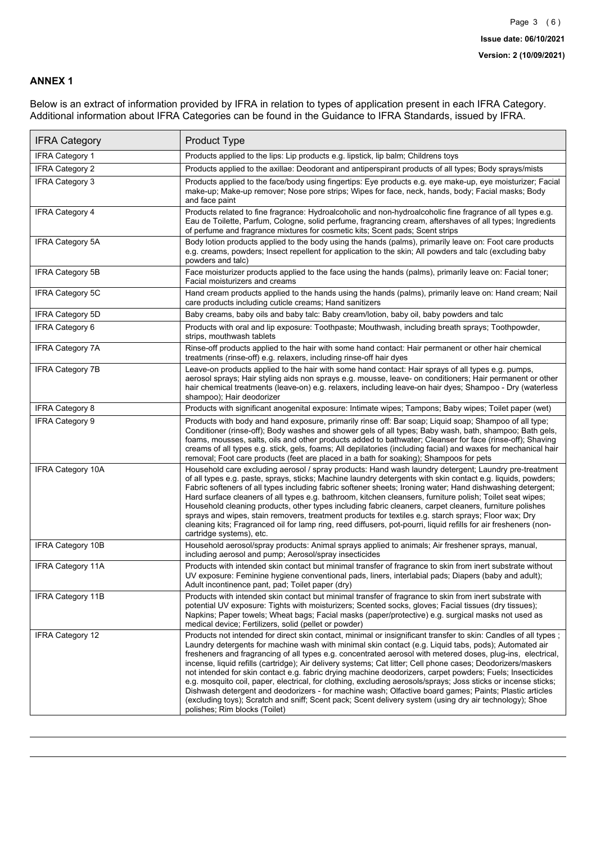### **ANNEX 1**

Below is an extract of information provided by IFRA in relation to types of application present in each IFRA Category. Additional information about IFRA Categories can be found in the Guidance to IFRA Standards, issued by IFRA.

| <b>IFRA Category</b>     | Product Type                                                                                                                                                                                                                                                                                                                                                                                                                                                                                                                                                                                                                                                                                                                                                                                                                                                                                                                                 |
|--------------------------|----------------------------------------------------------------------------------------------------------------------------------------------------------------------------------------------------------------------------------------------------------------------------------------------------------------------------------------------------------------------------------------------------------------------------------------------------------------------------------------------------------------------------------------------------------------------------------------------------------------------------------------------------------------------------------------------------------------------------------------------------------------------------------------------------------------------------------------------------------------------------------------------------------------------------------------------|
| IFRA Category 1          | Products applied to the lips: Lip products e.g. lipstick, lip balm; Childrens toys                                                                                                                                                                                                                                                                                                                                                                                                                                                                                                                                                                                                                                                                                                                                                                                                                                                           |
| <b>IFRA Category 2</b>   | Products applied to the axillae: Deodorant and antiperspirant products of all types; Body sprays/mists                                                                                                                                                                                                                                                                                                                                                                                                                                                                                                                                                                                                                                                                                                                                                                                                                                       |
| <b>IFRA Category 3</b>   | Products applied to the face/body using fingertips: Eye products e.g. eye make-up, eye moisturizer; Facial<br>make-up; Make-up remover; Nose pore strips; Wipes for face, neck, hands, body; Facial masks; Body<br>and face paint                                                                                                                                                                                                                                                                                                                                                                                                                                                                                                                                                                                                                                                                                                            |
| <b>IFRA Category 4</b>   | Products related to fine fragrance: Hydroalcoholic and non-hydroalcoholic fine fragrance of all types e.g.<br>Eau de Toilette, Parfum, Cologne, solid perfume, fragrancing cream, aftershaves of all types; Ingredients<br>of perfume and fragrance mixtures for cosmetic kits; Scent pads; Scent strips                                                                                                                                                                                                                                                                                                                                                                                                                                                                                                                                                                                                                                     |
| <b>IFRA Category 5A</b>  | Body lotion products applied to the body using the hands (palms), primarily leave on: Foot care products<br>e.g. creams, powders; Insect repellent for application to the skin; All powders and talc (excluding baby<br>powders and talc)                                                                                                                                                                                                                                                                                                                                                                                                                                                                                                                                                                                                                                                                                                    |
| IFRA Category 5B         | Face moisturizer products applied to the face using the hands (palms), primarily leave on: Facial toner;<br>Facial moisturizers and creams                                                                                                                                                                                                                                                                                                                                                                                                                                                                                                                                                                                                                                                                                                                                                                                                   |
| <b>IFRA Category 5C</b>  | Hand cream products applied to the hands using the hands (palms), primarily leave on: Hand cream; Nail<br>care products including cuticle creams; Hand sanitizers                                                                                                                                                                                                                                                                                                                                                                                                                                                                                                                                                                                                                                                                                                                                                                            |
| <b>IFRA Category 5D</b>  | Baby creams, baby oils and baby talc: Baby cream/lotion, baby oil, baby powders and talc                                                                                                                                                                                                                                                                                                                                                                                                                                                                                                                                                                                                                                                                                                                                                                                                                                                     |
| IFRA Category 6          | Products with oral and lip exposure: Toothpaste; Mouthwash, including breath sprays; Toothpowder,<br>strips, mouthwash tablets                                                                                                                                                                                                                                                                                                                                                                                                                                                                                                                                                                                                                                                                                                                                                                                                               |
| <b>IFRA Category 7A</b>  | Rinse-off products applied to the hair with some hand contact: Hair permanent or other hair chemical<br>treatments (rinse-off) e.g. relaxers, including rinse-off hair dyes                                                                                                                                                                                                                                                                                                                                                                                                                                                                                                                                                                                                                                                                                                                                                                  |
| <b>IFRA Category 7B</b>  | Leave-on products applied to the hair with some hand contact: Hair sprays of all types e.g. pumps,<br>aerosol sprays; Hair styling aids non sprays e.g. mousse, leave- on conditioners; Hair permanent or other<br>hair chemical treatments (leave-on) e.g. relaxers, including leave-on hair dyes; Shampoo - Dry (waterless<br>shampoo); Hair deodorizer                                                                                                                                                                                                                                                                                                                                                                                                                                                                                                                                                                                    |
| <b>IFRA Category 8</b>   | Products with significant anogenital exposure: Intimate wipes; Tampons; Baby wipes; Toilet paper (wet)                                                                                                                                                                                                                                                                                                                                                                                                                                                                                                                                                                                                                                                                                                                                                                                                                                       |
| IFRA Category 9          | Products with body and hand exposure, primarily rinse off: Bar soap; Liquid soap; Shampoo of all type;<br>Conditioner (rinse-off); Body washes and shower gels of all types; Baby wash, bath, shampoo; Bath gels,<br>foams, mousses, salts, oils and other products added to bathwater; Cleanser for face (rinse-off); Shaving<br>creams of all types e.g. stick, gels, foams; All depilatories (including facial) and waxes for mechanical hair<br>removal; Foot care products (feet are placed in a bath for soaking); Shampoos for pets                                                                                                                                                                                                                                                                                                                                                                                                   |
| <b>IFRA Category 10A</b> | Household care excluding aerosol / spray products: Hand wash laundry detergent; Laundry pre-treatment<br>of all types e.g. paste, sprays, sticks; Machine laundry detergents with skin contact e.g. liquids, powders;<br>Fabric softeners of all types including fabric softener sheets; Ironing water; Hand dishwashing detergent;<br>Hard surface cleaners of all types e.g. bathroom, kitchen cleansers, furniture polish; Toilet seat wipes;<br>Household cleaning products, other types including fabric cleaners, carpet cleaners, furniture polishes<br>sprays and wipes, stain removers, treatment products for textiles e.g. starch sprays; Floor wax; Dry<br>cleaning kits; Fragranced oil for lamp ring, reed diffusers, pot-pourri, liquid refills for air fresheners (non-<br>cartridge systems), etc.                                                                                                                          |
| <b>IFRA Category 10B</b> | Household aerosol/spray products: Animal sprays applied to animals; Air freshener sprays, manual,<br>including aerosol and pump; Aerosol/spray insecticides                                                                                                                                                                                                                                                                                                                                                                                                                                                                                                                                                                                                                                                                                                                                                                                  |
| <b>IFRA Category 11A</b> | Products with intended skin contact but minimal transfer of fragrance to skin from inert substrate without<br>UV exposure: Feminine hygiene conventional pads, liners, interlabial pads; Diapers (baby and adult);<br>Adult incontinence pant, pad; Toilet paper (dry)                                                                                                                                                                                                                                                                                                                                                                                                                                                                                                                                                                                                                                                                       |
| <b>IFRA Category 11B</b> | Products with intended skin contact but minimal transfer of fragrance to skin from inert substrate with<br>potential UV exposure: Tights with moisturizers; Scented socks, gloves; Facial tissues (dry tissues);<br>Napkins; Paper towels; Wheat bags; Facial masks (paper/protective) e.g. surgical masks not used as<br>medical device; Fertilizers, solid (pellet or powder)                                                                                                                                                                                                                                                                                                                                                                                                                                                                                                                                                              |
| <b>IFRA Category 12</b>  | Products not intended for direct skin contact, minimal or insignificant transfer to skin: Candles of all types;<br>Laundry detergents for machine wash with minimal skin contact (e.g. Liquid tabs, pods); Automated air<br>fresheners and fragrancing of all types e.g. concentrated aerosol with metered doses, plug-ins, electrical,<br>incense, liquid refills (cartridge); Air delivery systems; Cat litter; Cell phone cases; Deodorizers/maskers<br>not intended for skin contact e.g. fabric drying machine deodorizers, carpet powders; Fuels; Insecticides<br>e.g. mosquito coil, paper, electrical, for clothing, excluding aerosols/sprays; Joss sticks or incense sticks;<br>Dishwash detergent and deodorizers - for machine wash; Olfactive board games; Paints; Plastic articles<br>(excluding toys); Scratch and sniff; Scent pack; Scent delivery system (using dry air technology); Shoe<br>polishes; Rim blocks (Toilet) |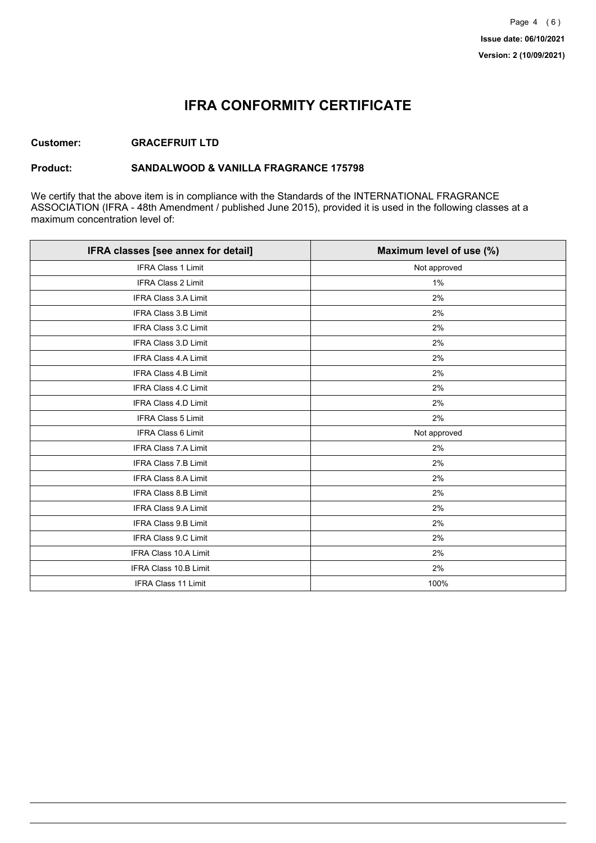## **IFRA CONFORMITY CERTIFICATE**

### **Customer: GRACEFRUIT LTD**

### **Product: SANDALWOOD & VANILLA FRAGRANCE 175798**

We certify that the above item is in compliance with the Standards of the INTERNATIONAL FRAGRANCE ASSOCIATION (IFRA - 48th Amendment / published June 2015), provided it is used in the following classes at a maximum concentration level of:

| IFRA classes [see annex for detail] | Maximum level of use (%) |
|-------------------------------------|--------------------------|
| <b>IFRA Class 1 Limit</b>           | Not approved             |
| IFRA Class 2 Limit                  | 1%                       |
| IFRA Class 3.A Limit                | 2%                       |
| <b>IFRA Class 3.B Limit</b>         | 2%                       |
| IFRA Class 3.C Limit                | 2%                       |
| IFRA Class 3.D Limit                | 2%                       |
| <b>IFRA Class 4.A Limit</b>         | 2%                       |
| <b>IFRA Class 4.B Limit</b>         | 2%                       |
| IFRA Class 4.C Limit                | 2%                       |
| IFRA Class 4.D Limit                | 2%                       |
| <b>IFRA Class 5 Limit</b>           | 2%                       |
| <b>IFRA Class 6 Limit</b>           | Not approved             |
| IFRA Class 7.A Limit                | 2%                       |
| <b>IFRA Class 7.B Limit</b>         | 2%                       |
| IFRA Class 8.A Limit                | 2%                       |
| IFRA Class 8.B Limit                | 2%                       |
| <b>IFRA Class 9.A Limit</b>         | 2%                       |
| <b>IFRA Class 9.B Limit</b>         | 2%                       |
| IFRA Class 9.C Limit                | 2%                       |
| IFRA Class 10.A Limit               | 2%                       |
| IFRA Class 10.B Limit               | 2%                       |
| <b>IFRA Class 11 Limit</b>          | 100%                     |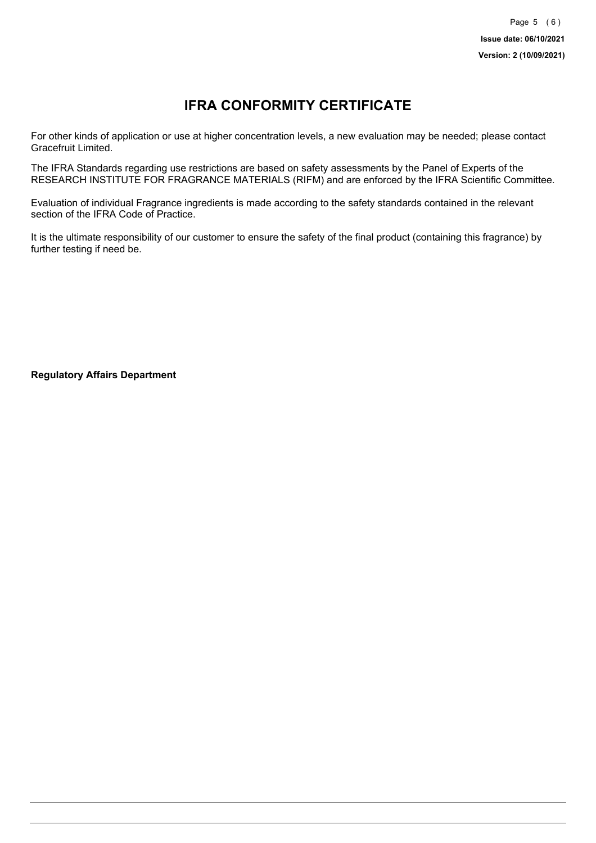# **IFRA CONFORMITY CERTIFICATE**

For other kinds of application or use at higher concentration levels, a new evaluation may be needed; please contact Gracefruit Limited.

The IFRA Standards regarding use restrictions are based on safety assessments by the Panel of Experts of the RESEARCH INSTITUTE FOR FRAGRANCE MATERIALS (RIFM) and are enforced by the IFRA Scientific Committee.

Evaluation of individual Fragrance ingredients is made according to the safety standards contained in the relevant section of the IFRA Code of Practice.

It is the ultimate responsibility of our customer to ensure the safety of the final product (containing this fragrance) by further testing if need be.

**Regulatory Affairs Department**